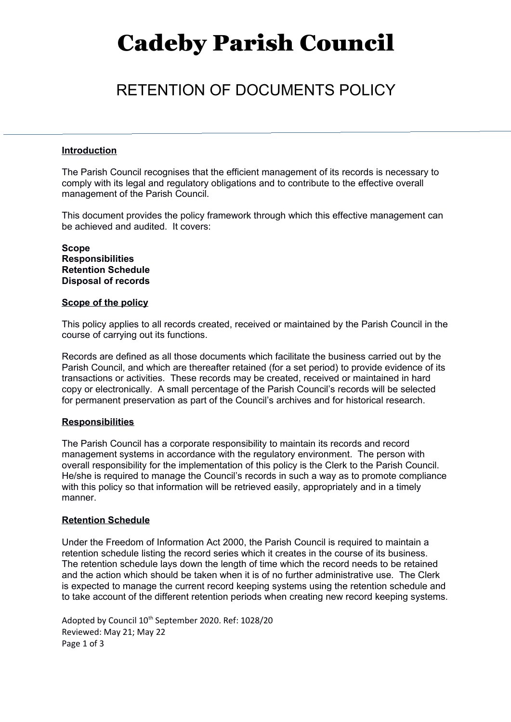# Cadeby Parish Council

## RETENTION OF DOCUMENTS POLICY

### **Introduction**

The Parish Council recognises that the efficient management of its records is necessary to comply with its legal and regulatory obligations and to contribute to the effective overall management of the Parish Council.

This document provides the policy framework through which this effective management can be achieved and audited. It covers:

**Scope Responsibilities Retention Schedule Disposal of records**

### **Scope of the policy**

This policy applies to all records created, received or maintained by the Parish Council in the course of carrying out its functions.

Records are defined as all those documents which facilitate the business carried out by the Parish Council, and which are thereafter retained (for a set period) to provide evidence of its transactions or activities. These records may be created, received or maintained in hard copy or electronically. A small percentage of the Parish Council's records will be selected for permanent preservation as part of the Council's archives and for historical research.

### **Responsibilities**

The Parish Council has a corporate responsibility to maintain its records and record management systems in accordance with the regulatory environment. The person with overall responsibility for the implementation of this policy is the Clerk to the Parish Council. He/she is required to manage the Council's records in such a way as to promote compliance with this policy so that information will be retrieved easily, appropriately and in a timely manner.

### **Retention Schedule**

Under the Freedom of Information Act 2000, the Parish Council is required to maintain a retention schedule listing the record series which it creates in the course of its business. The retention schedule lays down the length of time which the record needs to be retained and the action which should be taken when it is of no further administrative use. The Clerk is expected to manage the current record keeping systems using the retention schedule and to take account of the different retention periods when creating new record keeping systems.

Adopted by Council 10<sup>th</sup> September 2020. Ref: 1028/20 Reviewed: May 21; May 22 Page 1 of 3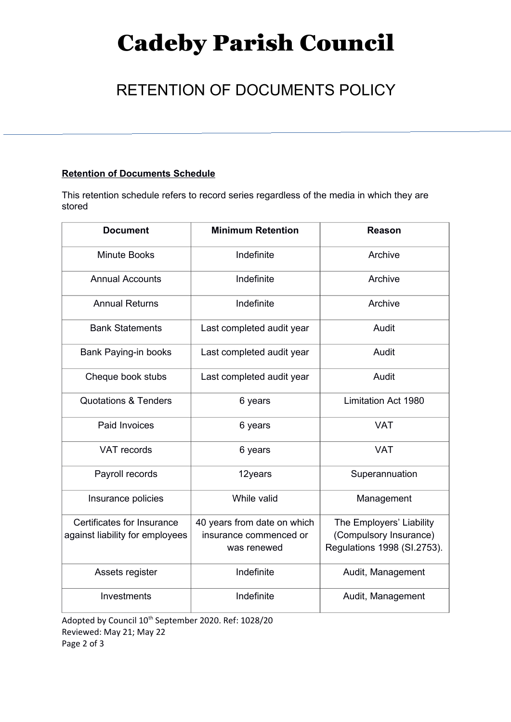# Cadeby Parish Council

## RETENTION OF DOCUMENTS POLICY

## **Retention of Documents Schedule**

This retention schedule refers to record series regardless of the media in which they are stored

| <b>Document</b>                                               | <b>Minimum Retention</b>                                             | <b>Reason</b>                                                                     |
|---------------------------------------------------------------|----------------------------------------------------------------------|-----------------------------------------------------------------------------------|
| <b>Minute Books</b>                                           | Indefinite                                                           | Archive                                                                           |
| <b>Annual Accounts</b>                                        | Indefinite                                                           | Archive                                                                           |
| <b>Annual Returns</b>                                         | Indefinite                                                           | Archive                                                                           |
| <b>Bank Statements</b>                                        | Last completed audit year                                            | Audit                                                                             |
| Bank Paying-in books                                          | Last completed audit year                                            | Audit                                                                             |
| Cheque book stubs                                             | Last completed audit year                                            | Audit                                                                             |
| <b>Quotations &amp; Tenders</b>                               | 6 years                                                              | <b>Limitation Act 1980</b>                                                        |
| Paid Invoices                                                 | 6 years                                                              | <b>VAT</b>                                                                        |
| <b>VAT records</b>                                            | 6 years                                                              | <b>VAT</b>                                                                        |
| Payroll records                                               | 12years                                                              | Superannuation                                                                    |
| Insurance policies                                            | While valid                                                          | Management                                                                        |
| Certificates for Insurance<br>against liability for employees | 40 years from date on which<br>insurance commenced or<br>was renewed | The Employers' Liability<br>(Compulsory Insurance)<br>Regulations 1998 (SI.2753). |
| Assets register                                               | Indefinite                                                           | Audit, Management                                                                 |
| Investments                                                   | Indefinite                                                           | Audit, Management                                                                 |

Adopted by Council 10<sup>th</sup> September 2020. Ref: 1028/20 Reviewed: May 21; May 22 Page 2 of 3